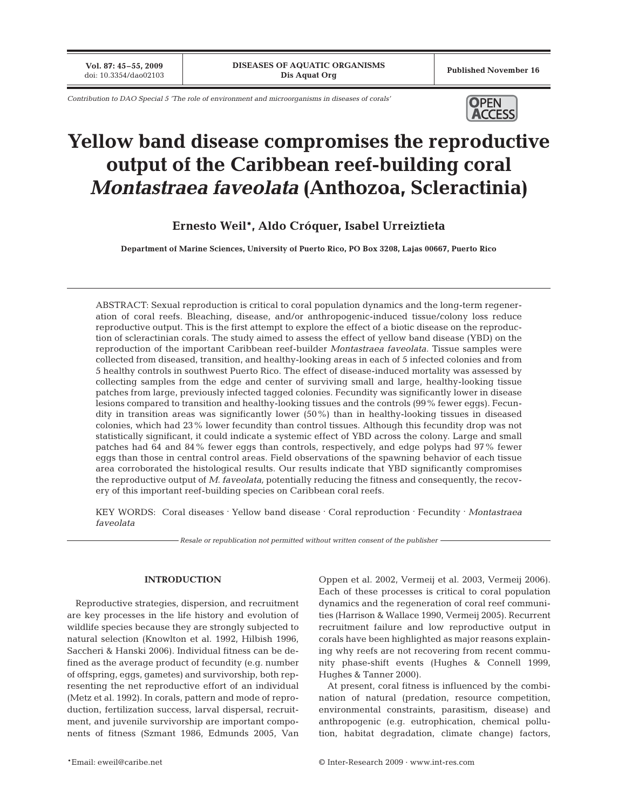**Vol. 87: 45–55, 2009**<br>doi: 10.3354/dao02103

Published November 16

*Contribution to DAO Special 5 'The role of environment and microorganisms in diseases of corals'* **OPEN** 



# **Yellow band disease compromises the reproductive output of the Caribbean reef-building coral** *Montastraea faveolata* **(Anthozoa, Scleractinia)**

# **Ernesto Weil\*, Aldo Cróquer, Isabel Urreiztieta**

**Department of Marine Sciences, University of Puerto Rico, PO Box 3208, Lajas 00667, Puerto Rico**

ABSTRACT: Sexual reproduction is critical to coral population dynamics and the long-term regeneration of coral reefs. Bleaching, disease, and/or anthropogenic-induced tissue/colony loss reduce reproductive output. This is the first attempt to explore the effect of a biotic disease on the reproduction of scleractinian corals. The study aimed to assess the effect of yellow band disease (YBD) on the reproduction of the important Caribbean reef-builder *Montastraea faveolata.* Tissue samples were collected from diseased, transition, and healthy-looking areas in each of 5 infected colonies and from 5 healthy controls in southwest Puerto Rico. The effect of disease-induced mortality was assessed by collecting samples from the edge and center of surviving small and large, healthy-looking tissue patches from large, previously infected tagged colonies. Fecundity was significantly lower in disease lesions compared to transition and healthy-looking tissues and the controls (99% fewer eggs). Fecundity in transition areas was significantly lower (50%) than in healthy-looking tissues in diseased colonies, which had 23% lower fecundity than control tissues. Although this fecundity drop was not statistically significant, it could indicate a systemic effect of YBD across the colony. Large and small patches had 64 and 84% fewer eggs than controls, respectively, and edge polyps had 97% fewer eggs than those in central control areas. Field observations of the spawning behavior of each tissue area corroborated the histological results. Our results indicate that YBD significantly compromises the reproductive output of *M. faveolata,* potentially reducing the fitness and consequently, the recovery of this important reef-building species on Caribbean coral reefs.

KEY WORDS: Coral diseases **.** Yellow band disease **.** Coral reproduction **.** Fecundity **.** *Montastraea faveolata*

*Resale or republication not permitted without written consent of the publisher*

## **INTRODUCTION**

Reproductive strategies, dispersion, and recruitment are key processes in the life history and evolution of wildlife species because they are strongly subjected to natural selection (Knowlton et al. 1992, Hilbish 1996, Saccheri & Hanski 2006). Individual fitness can be defined as the average product of fecundity (e.g. number of offspring, eggs, gametes) and survivorship, both representing the net reproductive effort of an individual (Metz et al. 1992). In corals, pattern and mode of reproduction, fertilization success, larval dispersal, recruitment, and juvenile survivorship are important components of fitness (Szmant 1986, Edmunds 2005, Van

Oppen et al. 2002, Vermeij et al. 2003, Vermeij 2006). Each of these processes is critical to coral population dynamics and the regeneration of coral reef communities (Harrison & Wallace 1990, Vermeij 2005). Recurrent recruitment failure and low reproductive output in corals have been highlighted as major reasons explaining why reefs are not recovering from recent community phase-shift events (Hughes & Connell 1999, Hughes & Tanner 2000).

At present, coral fitness is influenced by the combination of natural (predation, resource competition, environmental constraints, parasitism, disease) and anthropogenic (e.g. eutrophication, chemical pollution, habitat degradation, climate change) factors,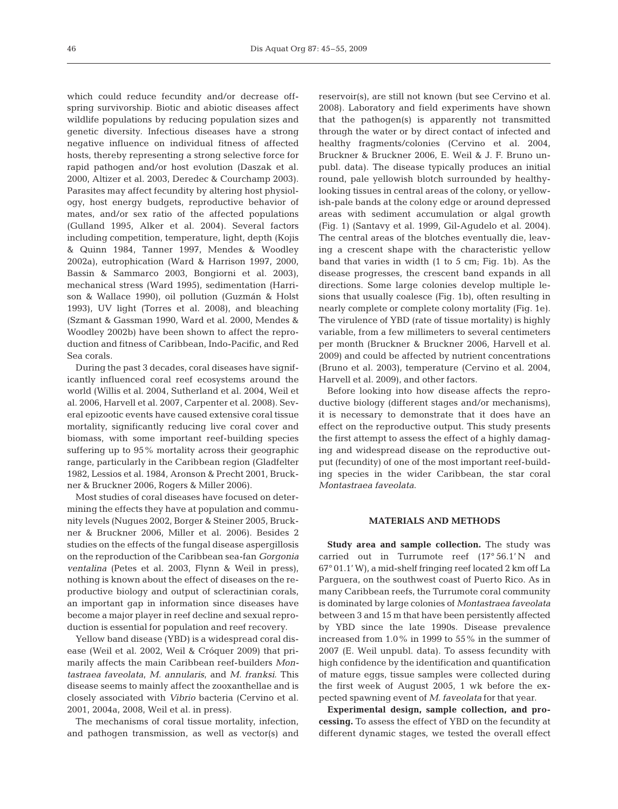which could reduce fecundity and/or decrease offspring survivorship. Biotic and abiotic diseases affect wildlife populations by reducing population sizes and genetic diversity. Infectious diseases have a strong negative influence on individual fitness of affected hosts, thereby representing a strong selective force for rapid pathogen and/or host evolution (Daszak et al. 2000, Altizer et al. 2003, Deredec & Courchamp 2003). Parasites may affect fecundity by altering host physiology, host energy budgets, reproductive behavior of mates, and/or sex ratio of the affected populations (Gulland 1995, Alker et al. 2004). Several factors including competition, temperature, light, depth (Kojis & Quinn 1984, Tanner 1997, Mendes & Woodley 2002a), eutrophication (Ward & Harrison 1997, 2000, Bassin & Sammarco 2003, Bongiorni et al. 2003), mechanical stress (Ward 1995), sedimentation (Harrison & Wallace 1990), oil pollution (Guzmán & Holst 1993), UV light (Torres et al. 2008), and bleaching (Szmant & Gassman 1990, Ward et al. 2000, Mendes & Woodley 2002b) have been shown to affect the reproduction and fitness of Caribbean, Indo-Pacific, and Red Sea corals.

During the past 3 decades, coral diseases have significantly influenced coral reef ecosystems around the world (Willis et al. 2004, Sutherland et al. 2004, Weil et al. 2006, Harvell et al. 2007, Carpenter et al. 2008). Several epizootic events have caused extensive coral tissue mortality, significantly reducing live coral cover and biomass, with some important reef-building species suffering up to 95% mortality across their geographic range, particularly in the Caribbean region (Gladfelter 1982, Lessios et al. 1984, Aronson & Precht 2001, Bruckner & Bruckner 2006, Rogers & Miller 2006).

Most studies of coral diseases have focused on determining the effects they have at population and community levels (Nugues 2002, Borger & Steiner 2005, Bruckner & Bruckner 2006, Miller et al. 2006). Besides 2 studies on the effects of the fungal disease aspergillosis on the reproduction of the Caribbean sea-fan *Gorgonia ventalina* (Petes et al. 2003, Flynn & Weil in press), nothing is known about the effect of diseases on the reproductive biology and output of scleractinian corals, an important gap in information since diseases have become a major player in reef decline and sexual reproduction is essential for population and reef recovery.

Yellow band disease (YBD) is a widespread coral disease (Weil et al. 2002, Weil & Cróquer 2009) that primarily affects the main Caribbean reef-builders *Montastraea faveolata*, *M. annularis*, and *M. franksi*. This disease seems to mainly affect the zooxanthellae and is closely associated with *Vibrio* bacteria (Cervino et al. 2001, 2004a, 2008, Weil et al. in press).

The mechanisms of coral tissue mortality, infection, and pathogen transmission, as well as vector(s) and reservoir(s), are still not known (but see Cervino et al. 2008). Laboratory and field experiments have shown that the pathogen(s) is apparently not transmitted through the water or by direct contact of infected and healthy fragments/colonies (Cervino et al. 2004, Bruckner & Bruckner 2006, E. Weil & J. F. Bruno unpubl. data). The disease typically produces an initial round, pale yellowish blotch surrounded by healthylooking tissues in central areas of the colony, or yellowish-pale bands at the colony edge or around depressed areas with sediment accumulation or algal growth (Fig. 1) (Santavy et al. 1999, Gil-Agudelo et al. 2004). The central areas of the blotches eventually die, leaving a crescent shape with the characteristic yellow band that varies in width (1 to 5 cm; Fig. 1b). As the disease progresses, the crescent band expands in all directions. Some large colonies develop multiple lesions that usually coalesce (Fig. 1b), often resulting in nearly complete or complete colony mortality (Fig. 1e). The virulence of YBD (rate of tissue mortality) is highly variable, from a few millimeters to several centimeters per month (Bruckner & Bruckner 2006, Harvell et al. 2009) and could be affected by nutrient concentrations (Bruno et al. 2003), temperature (Cervino et al. 2004, Harvell et al. 2009), and other factors.

Before looking into how disease affects the reproductive biology (different stages and/or mechanisms), it is necessary to demonstrate that it does have an effect on the reproductive output. This study presents the first attempt to assess the effect of a highly damaging and widespread disease on the reproductive output (fecundity) of one of the most important reef-building species in the wider Caribbean, the star coral *Montastraea faveolata*.

### **MATERIALS AND METHODS**

**Study area and sample collection.** The study was carried out in Turrumote reef (17° 56.1' N and 67° 01.1' W), a mid-shelf fringing reef located 2 km off La Parguera, on the southwest coast of Puerto Rico. As in many Caribbean reefs, the Turrumote coral community is dominated by large colonies of *Montastraea faveolata* between 3 and 15 m that have been persistently affected by YBD since the late 1990s. Disease prevalence increased from 1.0% in 1999 to 55% in the summer of 2007 (E. Weil unpubl. data). To assess fecundity with high confidence by the identification and quantification of mature eggs, tissue samples were collected during the first week of August 2005, 1 wk before the expected spawning event of *M. faveolata* for that year.

**Experimental design, sample collection, and processing.** To assess the effect of YBD on the fecundity at different dynamic stages, we tested the overall effect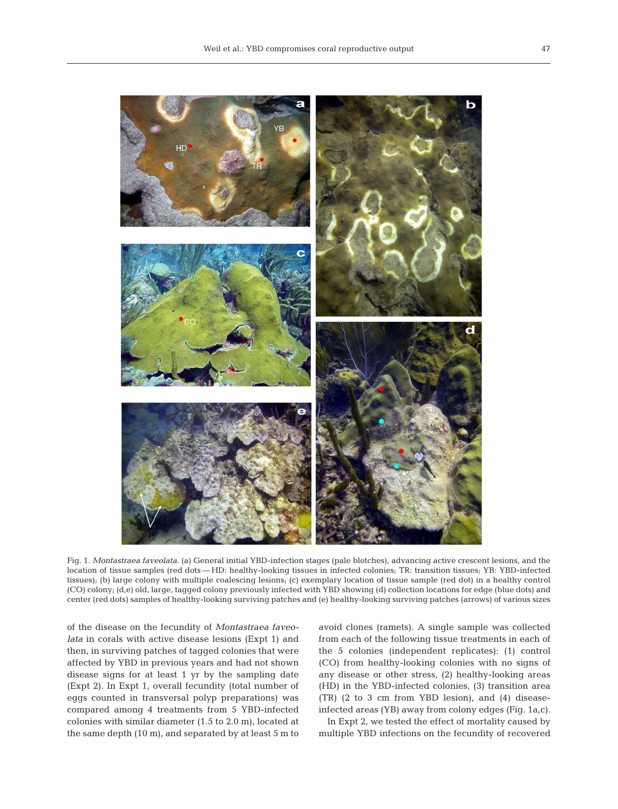

Fig. 1. *Montastraea faveolata.* (a) General initial YBD-infection stages (pale blotches), advancing active crescent lesions, and the location of tissue samples (red dots — HD: healthy-looking tissues in infected colonies; TR: transition tissues; YB: YBD-infected tissues); (b) large colony with multiple coalescing lesions; (c) exemplary location of tissue sample (red dot) in a healthy control (CO) colony; (d,e) old, large, tagged colony previously infected with YBD showing (d) collection locations for edge (blue dots) and center (red dots) samples of healthy-looking surviving patches and (e) healthy-looking surviving patches (arrows) of various sizes

of the disease on the fecundity of *Montastraea faveolata* in corals with active disease lesions (Expt 1) and then, in surviving patches of tagged colonies that were affected by YBD in previous years and had not shown disease signs for at least 1 yr by the sampling date (Expt 2). In Expt 1, overall fecundity (total number of eggs counted in transversal polyp preparations) was compared among 4 treatments from 5 YBD-infected colonies with similar diameter (1.5 to 2.0 m), located at the same depth (10 m), and separated by at least 5 m to

avoid clones (ramets). A single sample was collected from each of the following tissue treatments in each of the 5 colonies (independent replicates): (1) control (CO) from healthy-looking colonies with no signs of any disease or other stress, (2) healthy-looking areas (HD) in the YBD-infected colonies, (3) transition area (TR) (2 to 3 cm from YBD lesion), and (4) diseaseinfected areas (YB) away from colony edges (Fig. 1a,c).

In Expt 2, we tested the effect of mortality caused by multiple YBD infections on the fecundity of recovered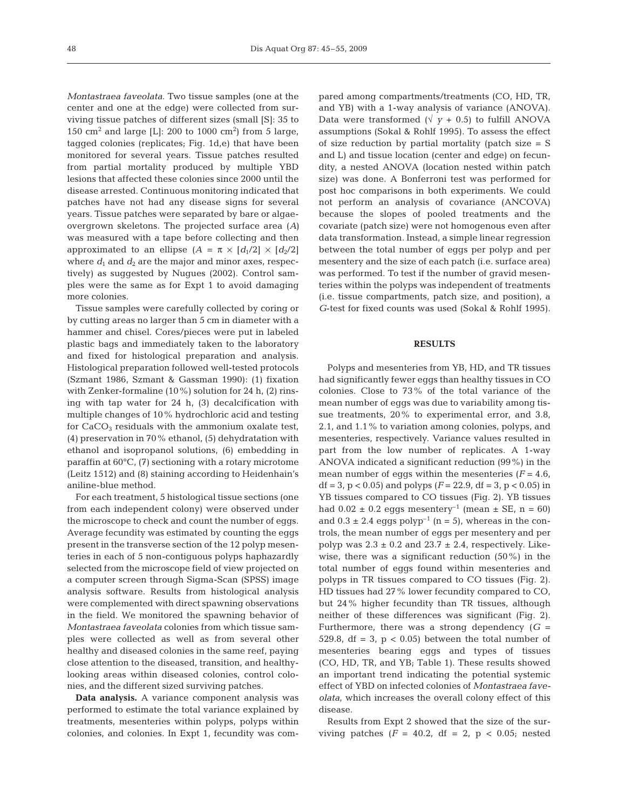*Montastraea faveolata*. Two tissue samples (one at the center and one at the edge) were collected from surviving tissue patches of different sizes (small [S]: 35 to 150  $\text{cm}^2$  and large [L]: 200 to 1000  $\text{cm}^2$ ) from 5 large, tagged colonies (replicates; Fig. 1d,e) that have been monitored for several years. Tissue patches resulted from partial mortality produced by multiple YBD lesions that affected these colonies since 2000 until the disease arrested. Continuous monitoring indicated that patches have not had any disease signs for several years. Tissue patches were separated by bare or algaeovergrown skeletons. The projected surface area (*A)* was measured with a tape before collecting and then approximated to an ellipse  $(A = \pi \times [d_1/2] \times [d_2/2]$ where  $d_1$  and  $d_2$  are the major and minor axes, respectively) as suggested by Nugues (2002). Control samples were the same as for Expt 1 to avoid damaging more colonies.

Tissue samples were carefully collected by coring or by cutting areas no larger than 5 cm in diameter with a hammer and chisel. Cores/pieces were put in labeled plastic bags and immediately taken to the laboratory and fixed for histological preparation and analysis. Histological preparation followed well-tested protocols (Szmant 1986, Szmant & Gassman 1990): (1) fixation with Zenker-formaline (10%) solution for 24 h, (2) rinsing with tap water for 24 h, (3) decalcification with multiple changes of 10% hydrochloric acid and testing for  $CaCO<sub>3</sub>$  residuals with the ammonium oxalate test, (4) preservation in 70% ethanol, (5) dehydratation with ethanol and isopropanol solutions, (6) embedding in paraffin at 60°C, (7) sectioning with a rotary microtome (Leitz 1512) and (8) staining according to Heidenhain's aniline-blue method.

For each treatment, 5 histological tissue sections (one from each independent colony) were observed under the microscope to check and count the number of eggs. Average fecundity was estimated by counting the eggs present in the transverse section of the 12 polyp mesenteries in each of 5 non-contiguous polyps haphazardly selected from the microscope field of view projected on a computer screen through Sigma-Scan (SPSS) image analysis software. Results from histological analysis were complemented with direct spawning observations in the field. We monitored the spawning behavior of *Montastraea faveolata* colonies from which tissue samples were collected as well as from several other healthy and diseased colonies in the same reef, paying close attention to the diseased, transition, and healthylooking areas within diseased colonies, control colonies, and the different sized surviving patches.

**Data analysis.** A variance component analysis was performed to estimate the total variance explained by treatments, mesenteries within polyps, polyps within colonies, and colonies. In Expt 1, fecundity was compared among compartments/treatments (CO, HD, TR, and YB) with a 1-way analysis of variance (ANOVA). Data were transformed ( $\sqrt{y}$  + 0.5) to fulfill ANOVA assumptions (Sokal & Rohlf 1995). To assess the effect of size reduction by partial mortality (patch size  $= S$ and L) and tissue location (center and edge) on fecundity, a nested ANOVA (location nested within patch size) was done. A Bonferroni test was performed for post hoc comparisons in both experiments. We could not perform an analysis of covariance (ANCOVA) because the slopes of pooled treatments and the covariate (patch size) were not homogenous even after data transformation. Instead, a simple linear regression between the total number of eggs per polyp and per mesentery and the size of each patch (i.e. surface area) was performed. To test if the number of gravid mesenteries within the polyps was independent of treatments (i.e. tissue compartments, patch size, and position), a *G*-test for fixed counts was used (Sokal & Rohlf 1995).

#### **RESULTS**

Polyps and mesenteries from YB, HD, and TR tissues had significantly fewer eggs than healthy tissues in CO colonies. Close to 73% of the total variance of the mean number of eggs was due to variability among tissue treatments, 20% to experimental error, and 3.8, 2.1, and 1.1% to variation among colonies, polyps, and mesenteries, respectively. Variance values resulted in part from the low number of replicates. A 1-way ANOVA indicated a significant reduction (99%) in the mean number of eggs within the mesenteries  $(F = 4.6,$ df = 3, p < 0.05) and polyps  $(F = 22.9, df = 3, p < 0.05)$  in YB tissues compared to CO tissues (Fig. 2). YB tissues had  $0.02 \pm 0.2$  eggs mesentery<sup>-1</sup> (mean  $\pm$  SE, n = 60) and  $0.3 \pm 2.4$  eggs polyp<sup>-1</sup> (n = 5), whereas in the controls, the mean number of eggs per mesentery and per polyp was  $2.3 \pm 0.2$  and  $23.7 \pm 2.4$ , respectively. Likewise, there was a significant reduction (50%) in the total number of eggs found within mesenteries and polyps in TR tissues compared to CO tissues (Fig. 2). HD tissues had 27% lower fecundity compared to CO, but 24% higher fecundity than TR tissues, although neither of these differences was significant (Fig. 2). Furthermore, there was a strong dependency  $(G =$ 529.8, df = 3,  $p < 0.05$ ) between the total number of mesenteries bearing eggs and types of tissues (CO, HD, TR, and YB; Table 1). These results showed an important trend indicating the potential systemic effect of YBD on infected colonies of *Montastraea faveolata*, which increases the overall colony effect of this disease.

Results from Expt 2 showed that the size of the surviving patches  $(F = 40.2, df = 2, p < 0.05; nested)$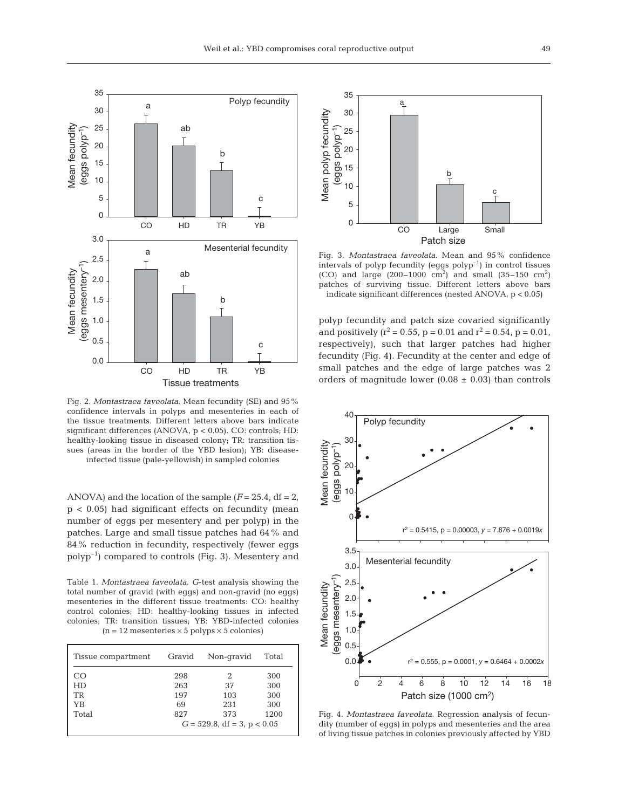

Fig. 2. *Montastraea faveolata*. Mean fecundity (SE) and 95% confidence intervals in polyps and mesenteries in each of the tissue treatments. Different letters above bars indicate significant differences (ANOVA, p < 0.05). CO: controls; HD: healthy-looking tissue in diseased colony; TR: transition tissues (areas in the border of the YBD lesion); YB: diseaseinfected tissue (pale-yellowish) in sampled colonies

ANOVA) and the location of the sample  $(F = 25.4, df = 2$ , p < 0.05) had significant effects on fecundity (mean number of eggs per mesentery and per polyp) in the patches. Large and small tissue patches had 64% and 84% reduction in fecundity, respectively (fewer eggs  $polyp^{-1}$ ) compared to controls (Fig. 3). Mesentery and

Table 1. *Montastraea faveolata*. *G*-test analysis showing the total number of gravid (with eggs) and non-gravid (no eggs) mesenteries in the different tissue treatments: CO: healthy control colonies; HD: healthy-looking tissues in infected colonies; TR: transition tissues; YB: YBD-infected colonies  $(n = 12$  mesenteries  $\times$  5 polyps  $\times$  5 colonies)

| Tissue compartment | Gravid                         | Non-gravid | Total |
|--------------------|--------------------------------|------------|-------|
| CO                 | 298                            | 2          | 300   |
| HD                 | 263                            | 37         | 300   |
| TR                 | 197                            | 103        | 300   |
| YΒ                 | 69                             | 231        | 300   |
| Total              | 827                            | 373        | 1200  |
|                    | $G = 529.8$ , df = 3, p < 0.05 |            |       |



Fig. 3. *Montastraea faveolata*. Mean and 95% confidence intervals of polyp fecundity (eggs  $polyp^{-1}$ ) in control tissues (CO) and large  $(200-1000 \text{ cm}^2)$  and small  $(35-150 \text{ cm}^2)$ patches of surviving tissue. Different letters above bars indicate significant differences (nested ANOVA, p < 0.05)

polyp fecundity and patch size covaried significantly and positively ( $r^2 = 0.55$ ,  $p = 0.01$  and  $r^2 = 0.54$ ,  $p = 0.01$ , respectively), such that larger patches had higher fecundity (Fig. 4). Fecundity at the center and edge of small patches and the edge of large patches was 2 orders of magnitude lower  $(0.08 \pm 0.03)$  than controls



Fig. 4. *Montastraea faveolata*. Regression analysis of fecundity (number of eggs) in polyps and mesenteries and the area of living tissue patches in colonies previously affected by YBD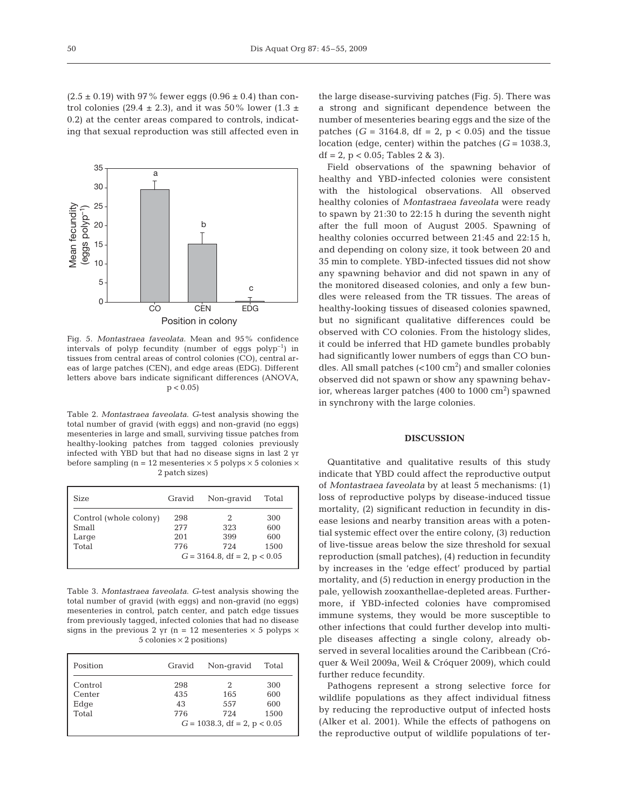$(2.5 \pm 0.19)$  with 97% fewer eggs  $(0.96 \pm 0.4)$  than control colonies (29.4  $\pm$  2.3), and it was 50% lower (1.3  $\pm$ ) 0.2) at the center areas compared to controls, indicating that sexual reproduction was still affected even in



Fig. 5. *Montastraea faveolata*. Mean and 95% confidence intervals of polyp fecundity (number of eggs polyp<sup>-1</sup>) in tissues from central areas of control colonies (CO), central areas of large patches (CEN), and edge areas (EDG). Different letters above bars indicate significant differences (ANOVA,  $p < 0.05$ 

Table 2. *Montastraea faveolata*. *G*-test analysis showing the total number of gravid (with eggs) and non-gravid (no eggs) mesenteries in large and small, surviving tissue patches from healthy-looking patches from tagged colonies previously infected with YBD but that had no disease signs in last 2 yr before sampling (n = 12 mesenteries  $\times$  5 polyps  $\times$  5 colonies  $\times$ 2 patch sizes)

| Size                   | Gravid                          | Non-gravid | Total |
|------------------------|---------------------------------|------------|-------|
| Control (whole colony) | 298                             | 2          | 300   |
| Small                  | 277                             | 323        | 600   |
| Large                  | 201                             | 399        | 600   |
| Total                  | 776                             | 724        | 1500  |
|                        | $G = 3164.8$ , df = 2, p < 0.05 |            |       |

Table 3. *Montastraea faveolata*. *G*-test analysis showing the total number of gravid (with eggs) and non-gravid (no eggs) mesenteries in control, patch center, and patch edge tissues from previously tagged, infected colonies that had no disease signs in the previous 2 yr (n = 12 mesenteries  $\times$  5 polyps  $\times$ 5 colonies  $\times$  2 positions)

| Position | Gravid | Non-gravid                      | Total |  |
|----------|--------|---------------------------------|-------|--|
| Control  | 2.98   | 2                               | 300   |  |
| Center   | 435    | 165                             | 600   |  |
| Edge     | 43     | 557                             | 600   |  |
| Total    | 776    | 724                             | 1500  |  |
|          |        | $G = 1038.3$ , df = 2, p < 0.05 |       |  |

the large disease-surviving patches (Fig. 5). There was a strong and significant dependence between the number of mesenteries bearing eggs and the size of the patches ( $G = 3164.8$ , df = 2,  $p < 0.05$ ) and the tissue location (edge, center) within the patches  $(G = 1038.3,$  $df = 2$ ,  $p < 0.05$ ; Tables 2 & 3).

Field observations of the spawning behavior of healthy and YBD-infected colonies were consistent with the histological observations. All observed healthy colonies of *Montastraea faveolata* were ready to spawn by 21:30 to 22:15 h during the seventh night after the full moon of August 2005. Spawning of healthy colonies occurred between 21:45 and 22:15 h, and depending on colony size, it took between 20 and 35 min to complete. YBD-infected tissues did not show any spawning behavior and did not spawn in any of the monitored diseased colonies, and only a few bundles were released from the TR tissues. The areas of healthy-looking tissues of diseased colonies spawned, but no significant qualitative differences could be observed with CO colonies. From the histology slides, it could be inferred that HD gamete bundles probably had significantly lower numbers of eggs than CO bundles. All small patches  $(<100 \text{ cm}^2$ ) and smaller colonies observed did not spawn or show any spawning behavior, whereas larger patches (400 to  $1000\ \mathrm{cm}^2$ ) spawned in synchrony with the large colonies.

#### **DISCUSSION**

Quantitative and qualitative results of this study indicate that YBD could affect the reproductive output of *Montastraea faveolata* by at least 5 mechanisms: (1) loss of reproductive polyps by disease-induced tissue mortality, (2) significant reduction in fecundity in disease lesions and nearby transition areas with a potential systemic effect over the entire colony, (3) reduction of live-tissue areas below the size threshold for sexual reproduction (small patches), (4) reduction in fecundity by increases in the 'edge effect' produced by partial mortality, and (5) reduction in energy production in the pale, yellowish zooxanthellae-depleted areas. Furthermore, if YBD-infected colonies have compromised immune systems, they would be more susceptible to other infections that could further develop into multiple diseases affecting a single colony, already observed in several localities around the Caribbean (Cróquer & Weil 2009a, Weil & Cróquer 2009), which could further reduce fecundity.

Pathogens represent a strong selective force for wildlife populations as they affect individual fitness by reducing the reproductive output of infected hosts (Alker et al. 2001). While the effects of pathogens on the reproductive output of wildlife populations of ter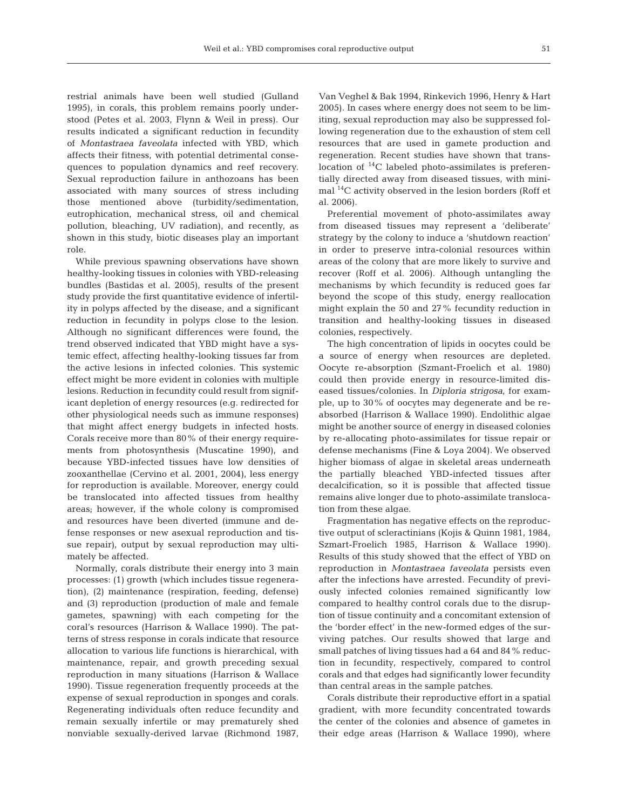restrial animals have been well studied (Gulland 1995), in corals, this problem remains poorly understood (Petes et al. 2003, Flynn & Weil in press). Our results indicated a significant reduction in fecundity of *Montastraea faveolata* infected with YBD, which affects their fitness, with potential detrimental consequences to population dynamics and reef recovery. Sexual reproduction failure in anthozoans has been associated with many sources of stress including those mentioned above (turbidity/sedimentation, eutrophication, mechanical stress, oil and chemical pollution, bleaching, UV radiation), and recently, as shown in this study, biotic diseases play an important role.

While previous spawning observations have shown healthy-looking tissues in colonies with YBD-releasing bundles (Bastidas et al. 2005), results of the present study provide the first quantitative evidence of infertility in polyps affected by the disease, and a significant reduction in fecundity in polyps close to the lesion. Although no significant differences were found, the trend observed indicated that YBD might have a systemic effect, affecting healthy-looking tissues far from the active lesions in infected colonies. This systemic effect might be more evident in colonies with multiple lesions. Reduction in fecundity could result from significant depletion of energy resources (e.g. redirected for other physiological needs such as immune responses) that might affect energy budgets in infected hosts. Corals receive more than 80% of their energy requirements from photosynthesis (Muscatine 1990), and because YBD-infected tissues have low densities of zooxanthellae (Cervino et al. 2001, 2004), less energy for reproduction is available. Moreover, energy could be translocated into affected tissues from healthy areas; however, if the whole colony is compromised and resources have been diverted (immune and defense responses or new asexual reproduction and tissue repair), output by sexual reproduction may ultimately be affected.

Normally, corals distribute their energy into 3 main processes: (1) growth (which includes tissue regeneration), (2) maintenance (respiration, feeding, defense) and (3) reproduction (production of male and female gametes, spawning) with each competing for the coral's resources (Harrison & Wallace 1990). The patterns of stress response in corals indicate that resource allocation to various life functions is hierarchical, with maintenance, repair, and growth preceding sexual reproduction in many situations (Harrison & Wallace 1990). Tissue regeneration frequently proceeds at the expense of sexual reproduction in sponges and corals. Regenerating individuals often reduce fecundity and remain sexually infertile or may prematurely shed nonviable sexually-derived larvae (Richmond 1987,

Van Veghel & Bak 1994, Rinkevich 1996, Henry & Hart 2005). In cases where energy does not seem to be limiting, sexual reproduction may also be suppressed following regeneration due to the exhaustion of stem cell resources that are used in gamete production and regeneration. Recent studies have shown that translocation of 14C labeled photo-assimilates is preferentially directed away from diseased tissues, with minimal 14C activity observed in the lesion borders (Roff et al. 2006).

Preferential movement of photo-assimilates away from diseased tissues may represent a 'deliberate' strategy by the colony to induce a 'shutdown reaction' in order to preserve intra-colonial resources within areas of the colony that are more likely to survive and recover (Roff et al. 2006). Although untangling the mechanisms by which fecundity is reduced goes far beyond the scope of this study, energy reallocation might explain the 50 and 27% fecundity reduction in transition and healthy-looking tissues in diseased colonies, respectively.

The high concentration of lipids in oocytes could be a source of energy when resources are depleted. Oocyte re-absorption (Szmant-Froelich et al. 1980) could then provide energy in resource-limited diseased tissues/colonies. In *Diploria strigosa*, for example, up to 30% of oocytes may degenerate and be reabsorbed (Harrison & Wallace 1990). Endolithic algae might be another source of energy in diseased colonies by re-allocating photo-assimilates for tissue repair or defense mechanisms (Fine & Loya 2004). We observed higher biomass of algae in skeletal areas underneath the partially bleached YBD-infected tissues after decalcification, so it is possible that affected tissue remains alive longer due to photo-assimilate translocation from these algae.

Fragmentation has negative effects on the reproductive output of scleractinians (Kojis & Quinn 1981, 1984, Szmart-Froelich 1985, Harrison & Wallace 1990). Results of this study showed that the effect of YBD on reproduction in *Montastraea faveolata* persists even after the infections have arrested. Fecundity of previously infected colonies remained significantly low compared to healthy control corals due to the disruption of tissue continuity and a concomitant extension of the 'border effect' in the new-formed edges of the surviving patches. Our results showed that large and small patches of living tissues had a 64 and 84% reduction in fecundity, respectively, compared to control corals and that edges had significantly lower fecundity than central areas in the sample patches.

Corals distribute their reproductive effort in a spatial gradient, with more fecundity concentrated towards the center of the colonies and absence of gametes in their edge areas (Harrison & Wallace 1990), where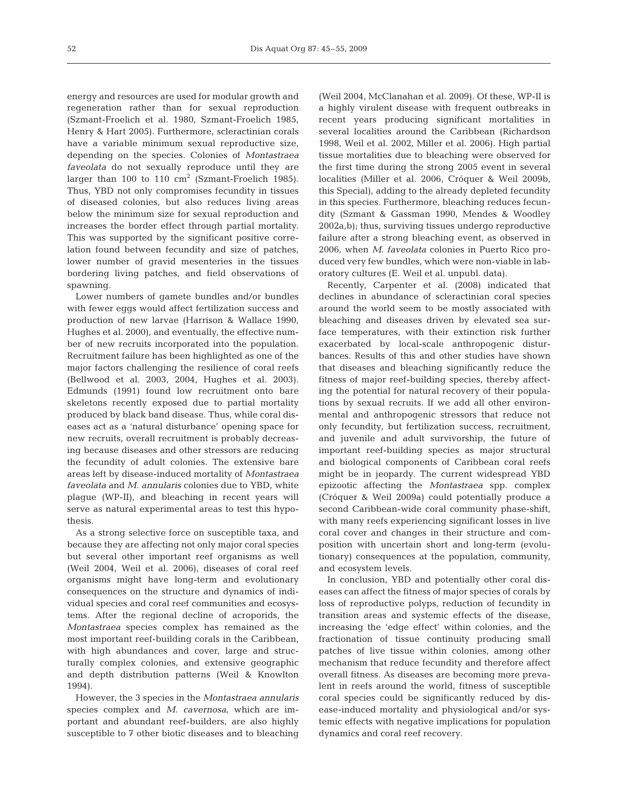energy and resources are used for modular growth and regeneration rather than for sexual reproduction (Szmant-Froelich et al. 1980, Szmant-Froelich 1985, Henry & Hart 2005). Furthermore, scleractinian corals have a variable minimum sexual reproductive size, depending on the species. Colonies of *Montastraea faveolata* do not sexually reproduce until they are larger than 100 to 110  $\text{cm}^2$  (Szmant-Froelich 1985). Thus, YBD not only compromises fecundity in tissues of diseased colonies, but also reduces living areas below the minimum size for sexual reproduction and increases the border effect through partial mortality. This was supported by the significant positive correlation found between fecundity and size of patches, lower number of gravid mesenteries in the tissues bordering living patches, and field observations of spawning.

Lower numbers of gamete bundles and/or bundles with fewer eggs would affect fertilization success and production of new larvae (Harrison & Wallace 1990, Hughes et al. 2000), and eventually, the effective number of new recruits incorporated into the population. Recruitment failure has been highlighted as one of the major factors challenging the resilience of coral reefs (Bellwood et al. 2003, 2004, Hughes et al. 2003). Edmunds (1991) found low recruitment onto bare skeletons recently exposed due to partial mortality produced by black band disease. Thus, while coral diseases act as a 'natural disturbance' opening space for new recruits, overall recruitment is probably decreasing because diseases and other stressors are reducing the fecundity of adult colonies. The extensive bare areas left by disease-induced mortality of *Montastraea faveolata* and *M. annularis* colonies due to YBD, white plague (WP-II), and bleaching in recent years will serve as natural experimental areas to test this hypothesis.

As a strong selective force on susceptible taxa, and because they are affecting not only major coral species but several other important reef organisms as well (Weil 2004, Weil et al. 2006), diseases of coral reef organisms might have long-term and evolutionary consequences on the structure and dynamics of individual species and coral reef communities and ecosystems. After the regional decline of acroporids, the *Montastraea* species complex has remained as the most important reef-building corals in the Caribbean, with high abundances and cover, large and structurally complex colonies, and extensive geographic and depth distribution patterns (Weil & Knowlton 1994).

However, the 3 species in the *Montastraea annularis* species complex and *M. cavernosa*, which are important and abundant reef-builders, are also highly susceptible to 7 other biotic diseases and to bleaching

(Weil 2004, McClanahan et al. 2009). Of these, WP-II is a highly virulent disease with frequent outbreaks in recent years producing significant mortalities in several localities around the Caribbean (Richardson 1998, Weil et al. 2002, Miller et al. 2006). High partial tissue mortalities due to bleaching were observed for the first time during the strong 2005 event in several localities (Miller et al. 2006, Cróquer & Weil 2009b, this Special), adding to the already depleted fecundity in this species. Furthermore, bleaching reduces fecundity (Szmant & Gassman 1990, Mendes & Woodley 2002a,b); thus, surviving tissues undergo reproductive failure after a strong bleaching event, as observed in 2006, when *M. faveolata* colonies in Puerto Rico produced very few bundles, which were non-viable in laboratory cultures (E. Weil et al. unpubl. data).

Recently, Carpenter et al. (2008) indicated that declines in abundance of scleractinian coral species around the world seem to be mostly associated with bleaching and diseases driven by elevated sea surface temperatures, with their extinction risk further exacerbated by local-scale anthropogenic disturbances. Results of this and other studies have shown that diseases and bleaching significantly reduce the fitness of major reef-building species, thereby affecting the potential for natural recovery of their populations by sexual recruits. If we add all other environmental and anthropogenic stressors that reduce not only fecundity, but fertilization success, recruitment, and juvenile and adult survivorship, the future of important reef-building species as major structural and biological components of Caribbean coral reefs might be in jeopardy. The current widespread YBD epizootic affecting the *Montastraea* spp. complex (Cróquer & Weil 2009a) could potentially produce a second Caribbean-wide coral community phase-shift, with many reefs experiencing significant losses in live coral cover and changes in their structure and composition with uncertain short and long-term (evolutionary) consequences at the population, community, and ecosystem levels.

In conclusion, YBD and potentially other coral diseases can affect the fitness of major species of corals by loss of reproductive polyps, reduction of fecundity in transition areas and systemic effects of the disease, increasing the 'edge effect' within colonies, and the fractionation of tissue continuity producing small patches of live tissue within colonies, among other mechanism that reduce fecundity and therefore affect overall fitness. As diseases are becoming more prevalent in reefs around the world, fitness of susceptible coral species could be significantly reduced by disease-induced mortality and physiological and/or systemic effects with negative implications for population dynamics and coral reef recovery.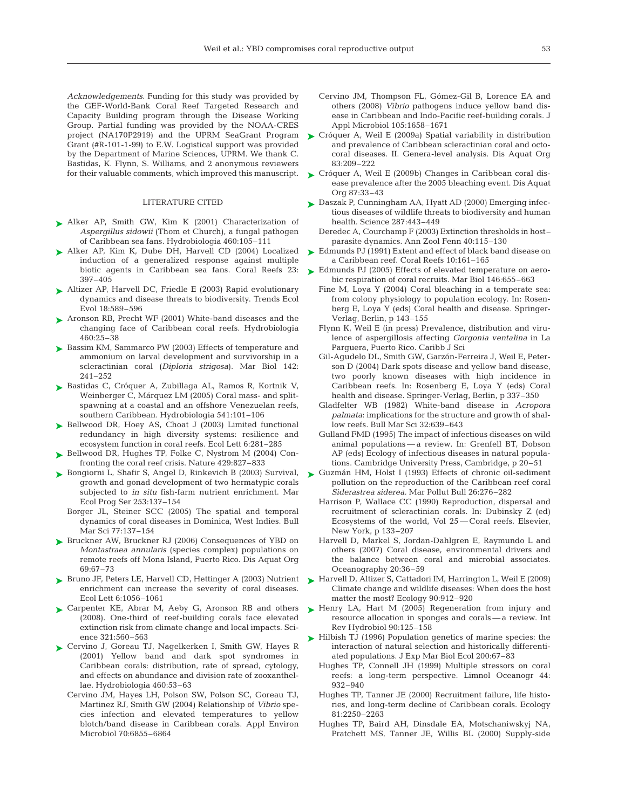*Acknowledgements.* Funding for this study was provided by the GEF-World-Bank Coral Reef Targeted Research and Capacity Building program through the Disease Working Group. Partial funding was provided by the NOAA-CRES project (NA170P2919) and the UPRM SeaGrant Program Grant (#R-101-1-99) to E.W. Logistical support was provided by the Department of Marine Sciences, UPRM. We thank C. Bastidas, K. Flynn, S. Williams, and 2 anonymous reviewers for their valuable comments, which improved this manuscript.

#### LITERATURE CITED

- Alker AP, Smith GW, Kim K (2001) Characterization of ➤ *Aspergillus sidowii* (Thom et Church), a fungal pathogen of Caribbean sea fans. Hydrobiologia 460:105–111
- ▶ Alker AP, Kim K, Dube DH, Harvell CD (2004) Localized induction of a generalized response against multiple biotic agents in Caribbean sea fans. Coral Reefs 23: 397–405
- ► Altizer AP, Harvell DC, Friedle E (2003) Rapid evolutionary dynamics and disease threats to biodiversity. Trends Ecol Evol 18:589–596
- ▶ Aronson RB, Precht WF (2001) White-band diseases and the changing face of Caribbean coral reefs. Hydrobiologia 460:25–38
- ► Bassim KM, Sammarco PW (2003) Effects of temperature and ammonium on larval development and survivorship in a scleractinian coral (*Diploria strigosa*). Mar Biol 142: 241–252
- ► Bastidas C, Cróquer A, Zubillaga AL, Ramos R, Kortnik V, Weinberger C, Márquez LM (2005) Coral mass- and splitspawning at a coastal and an offshore Venezuelan reefs, southern Caribbean. Hydrobiologia 541:101–106
- ► Bellwood DR, Hoey AS, Choat J (2003) Limited functional redundancy in high diversity systems: resilience and ecosystem function in coral reefs. Ecol Lett 6:281–285
- ▶ Bellwood DR, Hughes TP, Folke C, Nystrom M (2004) Confronting the coral reef crisis. Nature 429:827–833
- ► Bongiorni L, Shafir S, Angel D, Rinkevich B (2003) Survival, growth and gonad development of two hermatypic corals subjected to *in situ* fish-farm nutrient enrichment. Mar Ecol Prog Ser 253:137–154
	- Borger JL, Steiner SCC (2005) The spatial and temporal dynamics of coral diseases in Dominica, West Indies. Bull Mar Sci 77:137–154
- ▶ Bruckner AW, Bruckner RJ (2006) Consequences of YBD on *Montastraea annularis* (species complex) populations on remote reefs off Mona Island, Puerto Rico. Dis Aquat Org 69:67–73
- ▶ Bruno JF, Peters LE, Harvell CD, Hettinger A (2003) Nutrient enrichment can increase the severity of coral diseases. Ecol Lett 6:1056–1061
- ► Carpenter KE, Abrar M, Aeby G, Aronson RB and others (2008). One-third of reef-building corals face elevated extinction risk from climate change and local impacts. Science 321:560–563
- ► Cervino J, Goreau TJ, Nagelkerken I, Smith GW, Hayes R (2001) Yellow band and dark spot syndromes in Caribbean corals: distribution, rate of spread, cytology, and effects on abundance and division rate of zooxanthellae. Hydrobiologia 460:53–63
	- Cervino JM, Hayes LH, Polson SW, Polson SC, Goreau TJ, Martinez RJ, Smith GW (2004) Relationship of *Vibrio* species infection and elevated temperatures to yellow blotch/band disease in Caribbean corals. Appl Environ Microbiol 70:6855–6864
- Cervino JM, Thompson FL, Gómez-Gil B, Lorence EA and others (2008) *Vibrio* pathogens induce yellow band disease in Caribbean and Indo-Pacific reef-building corals. J Appl Microbiol 105:1658–1671
- ► Cróquer A, Weil E (2009a) Spatial variability in distribution and prevalence of Caribbean scleractinian coral and octocoral diseases. II. Genera-level analysis. Dis Aquat Org 83:209–222
- ► Cróquer A, Weil E (2009b) Changes in Caribbean coral disease prevalence after the 2005 bleaching event. Dis Aquat Org 87:33–43
- ► Daszak P, Cunningham AA, Hyatt AD (2000) Emerging infectious diseases of wildlife threats to biodiversity and human health. Science 287:443–449
	- Deredec A, Courchamp F (2003) Extinction thresholds in host– parasite dynamics. Ann Zool Fenn 40:115–130
- ► Edmunds PJ (1991) Extent and effect of black band disease on a Caribbean reef. Coral Reefs 10:161–165
- ► Edmunds PJ (2005) Effects of elevated temperature on aerobic respiration of coral recruits. Mar Biol 146:655–663
	- Fine M, Loya Y (2004) Coral bleaching in a temperate sea: from colony physiology to population ecology. In: Rosenberg E, Loya Y (eds) Coral health and disease. Springer-Verlag, Berlin, p 143–155
	- Flynn K, Weil E (in press) Prevalence, distribution and virulence of aspergillosis affecting *Gorgonia ventalina* in La Parguera, Puerto Rico. Caribb J Sci
	- Gil-Agudelo DL, Smith GW, Garzón-Ferreira J, Weil E, Peterson D (2004) Dark spots disease and yellow band disease, two poorly known diseases with high incidence in Caribbean reefs. In: Rosenberg E, Loya Y (eds) Coral health and disease. Springer-Verlag, Berlin, p 337–350
	- Gladfelter WB (1982) White-band disease in *Acropora palmata*: implications for the structure and growth of shallow reefs. Bull Mar Sci 32:639–643
	- Gulland FMD (1995) The impact of infectious diseases on wild animal populations — a review. In: Grenfell BT, Dobson AP (eds) Ecology of infectious diseases in natural populations. Cambridge University Press, Cambridge, p 20–51
- ► Guzmán HM, Holst I (1993) Effects of chronic oil-sediment pollution on the reproduction of the Caribbean reef coral *Siderastrea siderea.* Mar Pollut Bull 26:276–282
	- Harrison P, Wallace CC (1990) Reproduction, dispersal and recruitment of scleractinian corals. In: Dubinsky Z (ed) Ecosystems of the world, Vol 25 — Coral reefs. Elsevier, New York, p 133–207
	- Harvell D, Markel S, Jordan-Dahlgren E, Raymundo L and others (2007) Coral disease, environmental drivers and the balance between coral and microbial associates. Oceanography 20:36–59
- ► Harvell D, Altizer S, Cattadori IM, Harrington L, Weil E (2009) Climate change and wildlife diseases: When does the host matter the most? Ecology 90:912–920
- ▶ Henry LA, Hart M (2005) Regeneration from injury and resource allocation in sponges and corals — a review. Int Rev Hydrobiol 90:125–158
- ► Hilbish TJ (1996) Population genetics of marine species: the interaction of natural selection and historically differentiated populations. J Exp Mar Biol Ecol 200:67–83
	- Hughes TP, Connell JH (1999) Multiple stressors on coral reefs: a long-term perspective. Limnol Oceanogr 44: 932–940
	- Hughes TP, Tanner JE (2000) Recruitment failure, life histories, and long-term decline of Caribbean corals. Ecology 81:2250–2263
	- Hughes TP, Baird AH, Dinsdale EA, Motschaniwskyj NA, Pratchett MS, Tanner JE, Willis BL (2000) Supply-side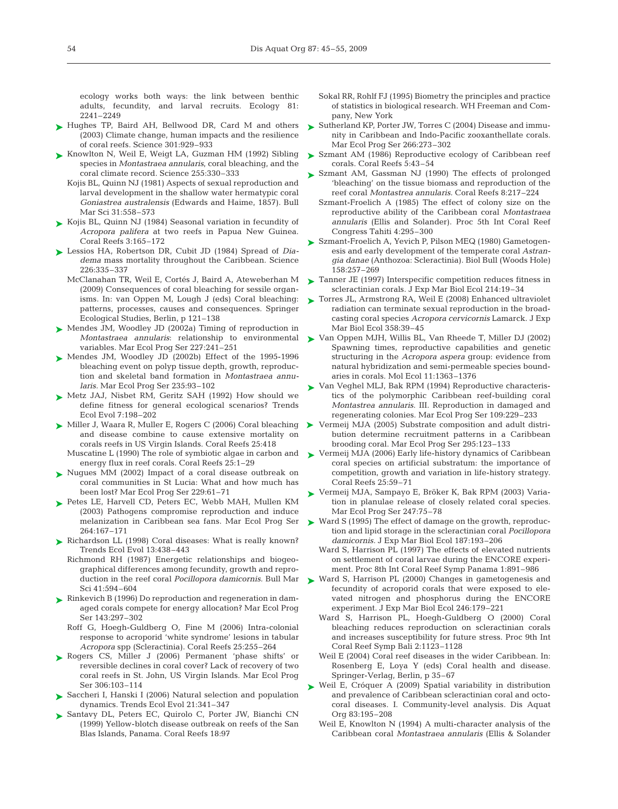ecology works both ways: the link between benthic adults, fecundity, and larval recruits. Ecology 81: 2241–2249

- ► Hughes TP, Baird AH, Bellwood DR, Card M and others (2003) Climate change, human impacts and the resilience of coral reefs. Science 301:929–933
- ► Knowlton N, Weil E, Weigt LA, Guzman HM (1992) Sibling species in *Montastraea annularis*, coral bleaching, and the coral climate record. Science 255:330–333
	- Kojis BL, Quinn NJ (1981) Aspects of sexual reproduction and larval development in the shallow water hermatypic coral *Goniastrea australensis* (Edwards and Haime, 1857). Bull Mar Sci 31:558–573
- ► Kojis BL, Quinn NJ (1984) Seasonal variation in fecundity of *Acropora palifera* at two reefs in Papua New Guinea. Coral Reefs 3:165–172
- Lessios HA, Robertson DR, Cubit JD (1984) Spread of *Dia-*➤ *dema* mass mortality throughout the Caribbean. Science 226:335–337
	- McClanahan TR, Weil E, Cortés J, Baird A, Ateweberhan M (2009) Consequences of coral bleaching for sessile organisms. In: van Oppen M, Lough J (eds) Coral bleaching: patterns, processes, causes and consequences. Springer Ecological Studies, Berlin, p 121–138
- ► Mendes JM, Woodley JD (2002a) Timing of reproduction in *Montastraea annularis*: relationship to environmental variables. Mar Ecol Prog Ser 227:241–251
- ▶ Mendes JM, Woodley JD (2002b) Effect of the 1995-1996 bleaching event on polyp tissue depth, growth, reproduction and skeletal band formation in *Montastraea annularis.* Mar Ecol Prog Ser 235:93–102
- ▶ Metz JAJ, Nisbet RM, Geritz SAH (1992) How should we define fitness for general ecological scenarios? Trends Ecol Evol 7:198–202
- ► Miller J, Waara R, Muller E, Rogers C (2006) Coral bleaching and disease combine to cause extensive mortality on corals reefs in US Virgin Islands. Coral Reefs 25:418
	- Muscatine L (1990) The role of symbiotic algae in carbon and energy flux in reef corals. Coral Reefs 25:1–29
- ▶ Nugues MM (2002) Impact of a coral disease outbreak on coral communities in St Lucia: What and how much has been lost? Mar Ecol Prog Ser 229:61–71
- ▶ Petes LE, Harvell CD, Peters EC, Webb MAH, Mullen KM (2003) Pathogens compromise reproduction and induce melanization in Caribbean sea fans. Mar Ecol Prog Ser 264:167–171
- ▶ Richardson LL (1998) Coral diseases: What is really known? Trends Ecol Evol 13:438–443
	- Richmond RH (1987) Energetic relationships and biogeographical differences among fecundity, growth and reproduction in the reef coral *Pocillopora damicornis.* Bull Mar Sci 41:594–604
- ► Rinkevich B (1996) Do reproduction and regeneration in damaged corals compete for energy allocation? Mar Ecol Prog Ser 143:297–302
	- Roff G, Hoegh-Guldberg O, Fine M (2006) Intra-colonial response to acroporid 'white syndrome' lesions in tabular *Acropora* spp (Scleractinia). Coral Reefs 25:255–264
- ▶ Rogers CS, Miller J (2006) Permanent 'phase shifts' or reversible declines in coral cover? Lack of recovery of two coral reefs in St. John, US Virgin Islands. Mar Ecol Prog Ser 306:103–114
- Saccheri I, Hanski I (2006) Natural selection and population ➤ dynamics. Trends Ecol Evol 21:341–347
- ▶ Santavy DL, Peters EC, Quirolo C, Porter JW, Bianchi CN (1999) Yellow-blotch disease outbreak on reefs of the San Blas Islands, Panama. Coral Reefs 18:97
- Sokal RR, Rohlf FJ (1995) Biometry the principles and practice of statistics in biological research. WH Freeman and Company, New York
- ► Sutherland KP, Porter JW, Torres C (2004) Disease and immunity in Caribbean and Indo-Pacific zooxanthellate corals. Mar Ecol Prog Ser 266:273–302
- ► Szmant AM (1986) Reproductive ecology of Caribbean reef corals. Coral Reefs 5:43–54
- ► Szmant AM, Gassman NJ (1990) The effects of prolonged 'bleaching' on the tissue biomass and reproduction of the reef coral *Montastrea annularis.* Coral Reefs 8:217–224
	- Szmant-Froelich A (1985) The effect of colony size on the reproductive ability of the Caribbean coral *Montastraea annularis* (Ellis and Solander). Proc 5th Int Coral Reef Congress Tahiti 4:295–300
- ► Szmant-Froelich A, Yevich P, Pilson MEQ (1980) Gametogenesis and early development of the temperate coral *Astrangia danae* (Anthozoa: Scleractinia). Biol Bull (Woods Hole) 158:257–269
- ► Tanner JE (1997) Interspecific competition reduces fitness in scleractinian corals. J Exp Mar Biol Ecol 214:19–34
- Torres JL, Armstrong RA, Weil E (2008) Enhanced ultraviolet ➤ radiation can terminate sexual reproduction in the broadcasting coral species *Acropora cervicornis* Lamarck. J Exp Mar Biol Ecol 358:39–45
- Van Oppen MJH, Willis BL, Van Rheede T, Miller DJ (2002) Spawning times, reproductive capabilities and genetic structuring in the *Acropora aspera* group: evidence from natural hybridization and semi-permeable species boundaries in corals. Mol Ecol 11:1363–1376 ➤
- Van Veghel MLJ, Bak RPM (1994) Reproductive characteristics of the polymorphic Caribbean reef-building coral *Montastrea annularis*. III. Reproduction in damaged and regenerating colonies. Mar Ecol Prog Ser 109:229–233 ➤
- ▶ Vermeij MJA (2005) Substrate composition and adult distribution determine recruitment patterns in a Caribbean brooding coral. Mar Ecol Prog Ser 295:123–133
- ► Vermeij MJA (2006) Early life-history dynamics of Caribbean coral species on artificial substratum: the importance of competition, growth and variation in life-history strategy. Coral Reefs 25:59–71
- Vermeij MJA, Sampayo E, Bröker K, Bak RPM (2003) Varia-➤ tion in planulae release of closely related coral species. Mar Ecol Prog Ser 247:75–78
- ► Ward S (1995) The effect of damage on the growth, reproduction and lipid storage in the scleractinian coral *Pocillopora damicornis.* J Exp Mar Biol Ecol 187:193–206
	- Ward S, Harrison PL (1997) The effects of elevated nutrients on settlement of coral larvae during the ENCORE experiment. Proc 8th Int Coral Reef Symp Panama 1:891–986
- ► Ward S, Harrison PL (2000) Changes in gametogenesis and fecundity of acroporid corals that were exposed to elevated nitrogen and phosphorus during the ENCORE experiment. J Exp Mar Biol Ecol 246:179–221
	- Ward S, Harrison PL, Hoegh-Guldberg O (2000) Coral bleaching reduces reproduction on scleractinian corals and increases susceptibility for future stress. Proc 9th Int Coral Reef Symp Bali 2:1123–1128
	- Weil E (2004) Coral reef diseases in the wider Caribbean. In: Rosenberg E, Loya Y (eds) Coral health and disease. Springer-Verlag, Berlin, p 35–67
- Weil E, Cróquer A (2009) Spatial variability in distribution and prevalence of Caribbean scleractinian coral and octocoral diseases. I. Community-level analysis. Dis Aquat Org 83:195–208 ➤
	- Weil E, Knowlton N (1994) A multi-character analysis of the Caribbean coral *Montastraea annularis* (Ellis & Solander